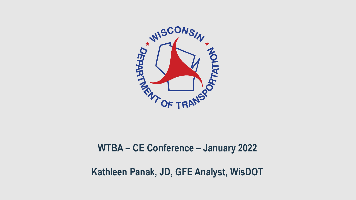

#### **WTBA – CE Conference – January 2022**

#### **Kathleen Panak, JD, GFE Analyst, WisDOT**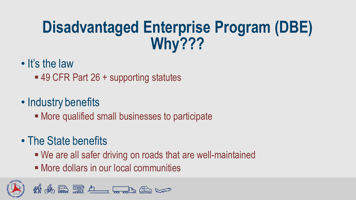# **Disadvantaged Enterprise Program (DBE) Why???**

- It's the law
	- 49 CFR Part 26 + supporting statutes
- Industry benefits
	- More qualified small businesses to participate
- The State benefits
	- We are all safer driving on roads that are well-maintained
	- More dollars in our local communities

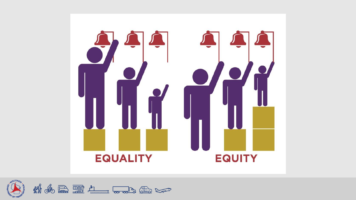

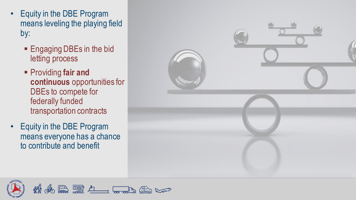- Equity in the DBE Program means leveling the playing field by:
	- **Engaging DBEs in the bid** letting process
	- Providing **fair and continuous** opportunities for DBEs to compete for federally funded transportation contracts
- Equity in the DBE Program means everyone has a chance to contribute and benefit



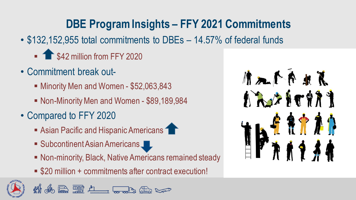# **DBE Program Insights – FFY 2021 Commitments**

- \$132,152,955 total commitments to DBEs 14.57% of federal funds
	- **1 \$42 million from FFY 2020**
- Commitment break out-
	- Minority Men and Women \$52,063,843
	- Non-Minority Men and Women \$89,189,984
- Compared to FFY 2020
	- Asian Pacific and Hispanic Americans

& RULL TO ALL

- Subcontinent Asian Americans
- Non-minority, Black, Native Americans remained steady
- \$20 million + commitments after contract execution!

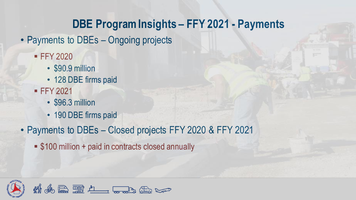## **DBE Program Insights – FFY 2021 - Payments**

- Payments to DBEs Ongoing projects
	- **FFY 2020** 
		- \$90.9 million
		- 128 DBE firms paid
	- **FFY 2021** 
		- \$96.3 million
		- 190 DBE firms paid
- Payments to DBEs Closed projects FFY 2020 & FFY 2021
	- \$100 million + paid in contracts closed annually

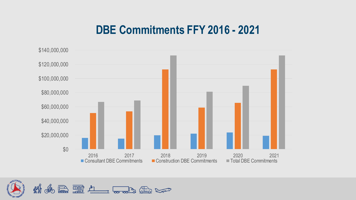#### **DBE Commitments FFY 2016 - 2021**



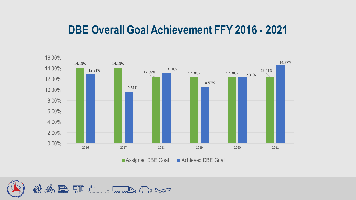#### **DBE Overall Goal Achievement FFY 2016 - 2021**



Assigned DBE Goal Achieved DBE Goal

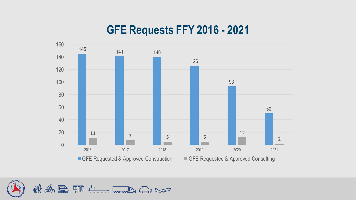### **GFE Requests FFY 2016 - 2021**



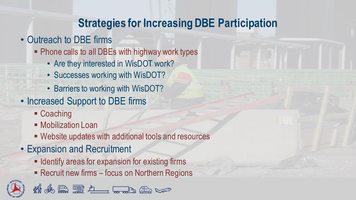### **Strategies for Increasing DBE Participation**

- Outreach to DBE firms
	- Phone calls to all DBEs with highway work types
		- Are they interested in WisDOT work?
		- Successes working with WisDOT?
		- Barriers to working with WisDOT?
- Increased Support to DBE firms
	- Coaching
	- **Mobilization Loan**
	- Website updates with additional tools and resources
- Expansion and Recruitment
	- **Expansion for expansion for existing firms**
	- Recruit new firms focus on Northern Regions

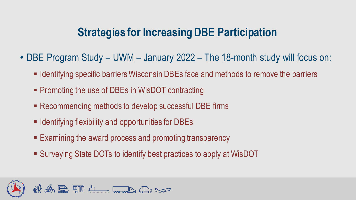### **Strategies for Increasing DBE Participation**

- DBE Program Study UWM January 2022 The 18-month study will focus on:
	- **Example 1** Identifying specific barriers Wisconsin DBEs face and methods to remove the barriers
	- Promoting the use of DBEs in WisDOT contracting
	- Recommending methods to develop successful DBE firms
	- Identifying flexibility and opportunities for DBEs
	- Examining the award process and promoting transparency
	- Surveying State DOTs to identify best practices to apply at WisDOT

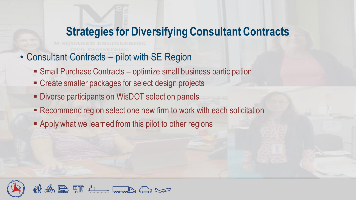### **Strategies for Diversifying Consultant Contracts**

- Consultant Contracts pilot with SE Region
	- Small Purchase Contracts optimize small business participation
	- Create smaller packages for select design projects
	- **EXECTE:** Diverse participants on WisDOT selection panels
	- Recommend region select one new firm to work with each solicitation
	- **Examply what we learned from this pilot to other regions**

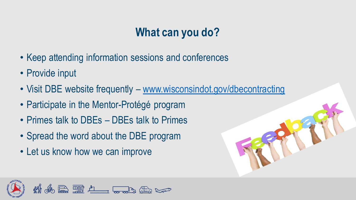# **What can you do?**

- Keep attending information sessions and conferences
- Provide input
- Visit DBE website frequently [www.wisconsindot.gov/dbecontracting](http://www.wisconsindot.gov/dbecontracting)
- Participate in the Mentor-Protégé program
- Primes talk to DBEs DBEs talk to Primes
- Spread the word about the DBE program
- Let us know how we can improve



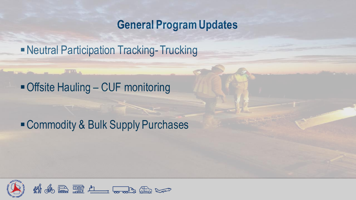#### **General Program Updates**

**- Neutral Participation Tracking-Trucking** 

### ■ Offsite Hauling – CUF monitoring

## ■ Commodity & Bulk Supply Purchases

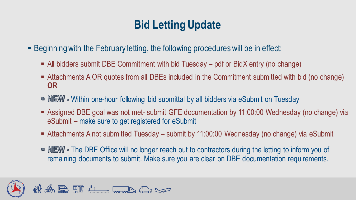# **Bid Letting Update**

**EXEDENTE FEET IS A BEGINORY FIGHTER IS A BEAT A BEAT IS A BEAT IS A BEAT IS A BEAT IS A BEAT IS A BEAT IS A BEAT IS A BEAT IS A BEAT IS A BEAT IS A BEAT IS A BEAT IS A BEAT IS A BEAT IS A BEAT IS A BEAT IS A BEAT IS A BEA** 

- All bidders submit DBE Commitment with bid Tuesday pdf or BidX entry (no change)
- Attachments A OR quotes from all DBEs included in the Commitment submitted with bid (no change) **OR**
- **EW** Within one-hour following bid submittal by all bidders via eSubmit on Tuesday
- Assigned DBE goal was not met- submit GFE documentation by 11:00:00 Wednesday (no change) via eSubmit – make sure to get registered for eSubmit
- Attachments A not submitted Tuesday submit by 11:00:00 Wednesday (no change) via eSubmit
- **EW** The DBE Office will no longer reach out to contractors during the letting to inform you of remaining documents to submit. Make sure you are clear on DBE documentation requirements.

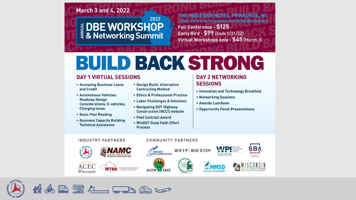#### **March 3 and 4, 2022**

#### 2022 EDBE WORKSHOP

THE INGLESIDE HOTEL, PEWAUKEE, WI https://www.accelevents.com/e/widbesummit **Full Conference - \$125** Early Bird - \$99 (Ends 1/31/22) Virtual Workshops only - \$45 (March 3)

# BUILD BACK STRONG

**COMMUNITY PARTNERS** 

#### **DAY 1 VIRTUAL SESSIONS**

- Accessing Business Loans and Credit
- **Autonomous Vehicles: Roadway Design Considerations, E-vehicles, Charging lanes**
- Basic Plan Reading
- Business Capacity Building **Technical Assistance**
- Design Build: Alternative **Contracting Method**
- **Ethics & Professional Practice**
- Labor Challenges & Solutions
- Navigating DOT Highway **Construction (HCCI) website**
- Post Contract Award
- . WisDOT Good Faith Effort **Process**

#### **DAY 2 NETWORKING SESSIONS**

- Innovation and Technology Breakfast
- Networking Sessions
- Awards Luncheon

PARTNERS FOR A CLEANER ENVIRONMEN

• Opportunity Panel Presentations

#### **INDUSTRY PARTNERS**









SCUNSIN

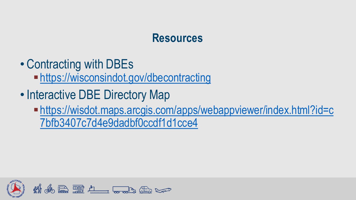#### **Resources**

- Contracting with DBEs
	- $\blacksquare$ <https://wisconsindot.gov/dbecontracting>
- Interactive DBE Directory Map
	- ▪[https://wisdot.maps.arcgis.com/apps/webappviewer/index.html?id=c](https://wisdot.maps.arcgis.com/apps/webappviewer/index.html?id=c7bfb3407c7d4e9dadbf0ccdf1d1cce4) 7bfb3407c7d4e9dadbf0ccdf1d1cce4